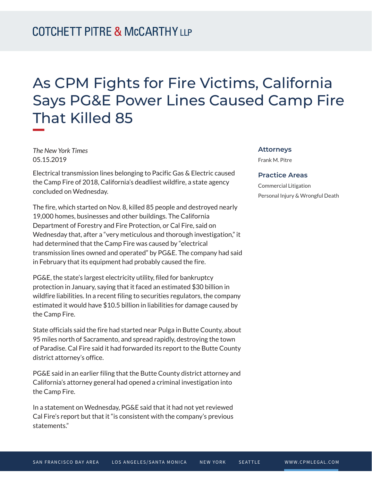## As CPM Fights for Fire Victims, California Says PG&E Power Lines Caused Camp Fire That Killed 85

*The New York Times* 05.15.2019

Electrical transmission lines belonging to Pacific Gas & Electric caused the Camp Fire of 2018, California's deadliest wildfire, a state agency concluded on Wednesday.

The fire, which started on Nov. 8, killed 85 people and destroyed nearly 19,000 homes, businesses and other buildings. The California Department of Forestry and Fire Protection, or Cal Fire, said on Wednesday that, after a "very meticulous and thorough investigation," it had determined that the Camp Fire was caused by "electrical transmission lines owned and operated" by PG&E. The company had said in February that its equipment had probably caused the fire.

PG&E, the state's largest electricity utility, filed for bankruptcy protection in January, saying that it faced an estimated \$30 billion in wildfire liabilities. In a recent filing to securities regulators, the company estimated it would have \$10.5 billion in liabilities for damage caused by the Camp Fire.

State officials said the fire had started near Pulga in Butte County, about 95 miles north of Sacramento, and spread rapidly, destroying the town of Paradise. Cal Fire said it had forwarded its report to the Butte County district attorney's office.

PG&E said in an earlier filing that the Butte County district attorney and California's attorney general had opened a criminal investigation into the Camp Fire.

In a statement on Wednesday, PG&E said that it had not yet reviewed Cal Fire's report but that it "is consistent with the company's previous statements."

## **Attorneys**

Frank M. Pitre

## **Practice Areas**

Commercial Litigation Personal Injury & Wrongful Death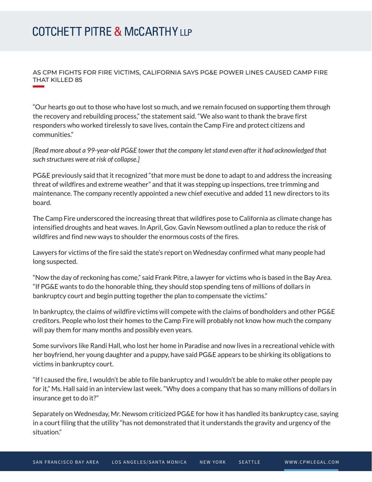## **COTCHETT PITRE & McCARTHY LLP**

AS CPM FIGHTS FOR FIRE VICTIMS, CALIFORNIA SAYS PG&E POWER LINES CAUSED CAMP FIRE THAT KILLED 85

"Our hearts go out to those who have lost so much, and we remain focused on supporting them through the recovery and rebuilding process," the statement said. "We also want to thank the brave first responders who worked tirelessly to save lives, contain the Camp Fire and protect citizens and communities."

*[Read more about a 99-year-old PG&E tower that the company let stand even after it had acknowledged that such structures were at risk of collapse.]*

PG&E previously said that it recognized "that more must be done to adapt to and address the increasing threat of wildfires and extreme weather" and that it was stepping up inspections, tree trimming and maintenance. The company recently appointed a new chief executive and added 11 new directors to its board.

The Camp Fire underscored the increasing threat that wildfires pose to California as climate change has intensified droughts and heat waves. In April, Gov. Gavin Newsom outlined a plan to reduce the risk of wildfires and find new ways to shoulder the enormous costs of the fires.

Lawyers for victims of the fire said the state's report on Wednesday confirmed what many people had long suspected.

"Now the day of reckoning has come," said Frank Pitre, a lawyer for victims who is based in the Bay Area. "If PG&E wants to do the honorable thing, they should stop spending tens of millions of dollars in bankruptcy court and begin putting together the plan to compensate the victims."

In bankruptcy, the claims of wildfire victims will compete with the claims of bondholders and other PG&E creditors. People who lost their homes to the Camp Fire will probably not know how much the company will pay them for many months and possibly even years.

Some survivors like Randi Hall, who lost her home in Paradise and now lives in a recreational vehicle with her boyfriend, her young daughter and a puppy, have said PG&E appears to be shirking its obligations to victims in bankruptcy court.

"If I caused the fire, I wouldn't be able to file bankruptcy and I wouldn't be able to make other people pay for it," Ms. Hall said in an interview last week. "Why does a company that has so many millions of dollars in insurance get to do it?"

Separately on Wednesday, Mr. Newsom criticized PG&E for how it has handled its bankruptcy case, saying in a court filing that the utility "has not demonstrated that it understands the gravity and urgency of the situation."